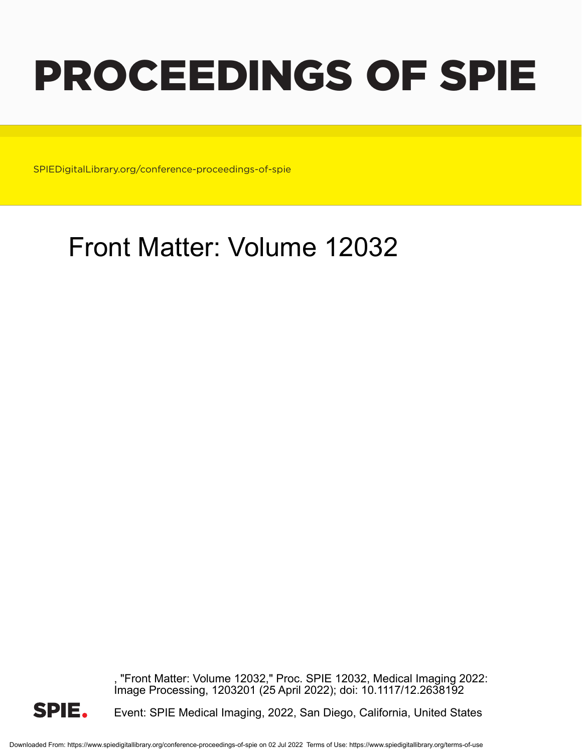# PROCEEDINGS OF SPIE

SPIEDigitalLibrary.org/conference-proceedings-of-spie

# Front Matter: Volume 12032

, "Front Matter: Volume 12032," Proc. SPIE 12032, Medical Imaging 2022: Image Processing, 1203201 (25 April 2022); doi: 10.1117/12.2638192



Event: SPIE Medical Imaging, 2022, San Diego, California, United States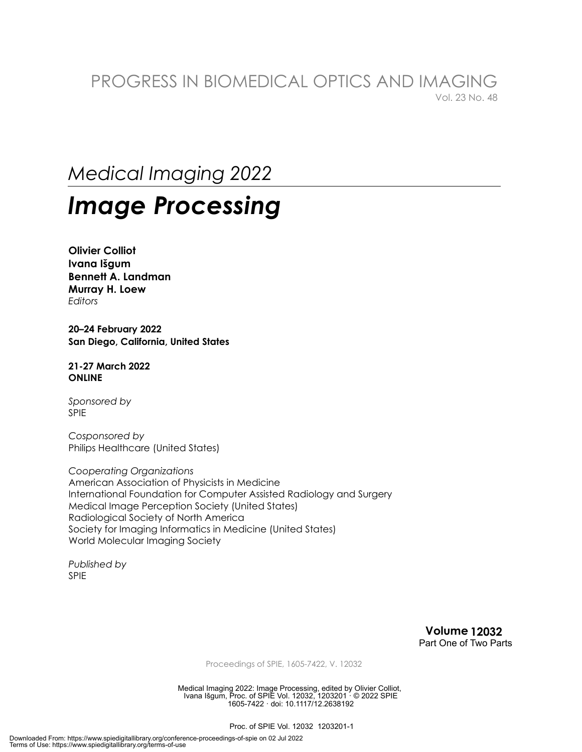### PROGRESS IN BIOMEDICAL OPTICS AND IMAGING Vol. 23 No. 48

# *Medical Imaging 2022*

# *Image Processing*

**Olivier Colliot Ivana Išgum Bennett A. Landman Murray H. Loew**  *Editors*

**20–24 February 2022 San Diego, California, United States**

**21-27 March 2022 ONLINE**

*Sponsored by*  SPIE

*Cosponsored by*  Philips Healthcare (United States)

*Cooperating Organizations*  American Association of Physicists in Medicine International Foundation for Computer Assisted Radiology and Surgery Medical Image Perception Society (United States) Radiological Society of North America Society for Imaging Informatics in Medicine (United States) World Molecular Imaging Society

*Published by*  SPIE

> **Volume 12032**  Part One of Two Parts

Proceedings of SPIE, 1605-7422, V. 12032

Medical Imaging 2022: Image Processing, edited by Olivier Colliot, Ivana Išgum, Proc. of SPIE Vol. 12032, 1203201 · © 2022 SPIE 1605-7422 · doi: 10.1117/12.2638192

Proc. of SPIE Vol. 12032 1203201-1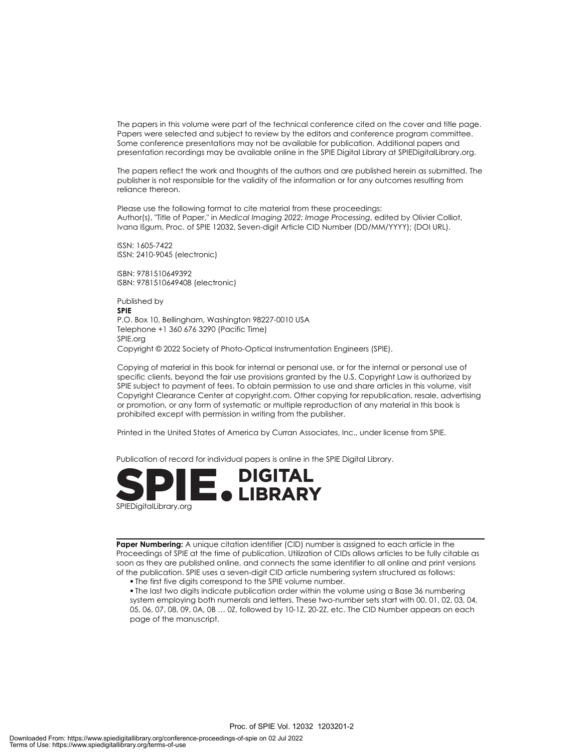The papers in this volume were part of the technical conference cited on the cover and title page. Papers were selected and subject to review by the editors and conference program committee. Some conference presentations may not be available for publication. Additional papers and presentation recordings may be available online in the SPIE Digital Library at SPIEDigitalLibrary.org.

The papers reflect the work and thoughts of the authors and are published herein as submitted. The publisher is not responsible for the validity of the information or for any outcomes resulting from reliance thereon.

Please use the following format to cite material from these proceedings: Author(s), "Title of Paper," in *Medical Imaging 2022: Image Processing*, edited by Olivier Colliot, Ivana Išgum, Proc. of SPIE 12032, Seven-digit Article CID Number (DD/MM/YYYY); (DOI URL).

ISSN: 1605-7422 ISSN: 2410-9045 (electronic)

ISBN: 9781510649392 ISBN: 9781510649408 (electronic)

Published by **SPIE**  P.O. Box 10, Bellingham, Washington 98227-0010 USA Telephone +1 360 676 3290 (Pacific Time) SPIE.org Copyright © 2022 Society of Photo-Optical Instrumentation Engineers (SPIE).

Copying of material in this book for internal or personal use, or for the internal or personal use of specific clients, beyond the fair use provisions granted by the U.S. Copyright Law is authorized by SPIE subject to payment of fees. To obtain permission to use and share articles in this volume, visit Copyright Clearance Center at copyright.com. Other copying for republication, resale, advertising or promotion, or any form of systematic or multiple reproduction of any material in this book is prohibited except with permission in writing from the publisher.

Printed in the United States of America by Curran Associates, Inc., under license from SPIE.

Publication of record for individual papers is online in the SPIE Digital Library.



**Paper Numbering:** A unique citation identifier (CID) number is assigned to each article in the Proceedings of SPIE at the time of publication. Utilization of CIDs allows articles to be fully citable as soon as they are published online, and connects the same identifier to all online and print versions of the publication. SPIE uses a seven-digit CID article numbering system structured as follows:

The first five digits correspond to the SPIE volume number.

 The last two digits indicate publication order within the volume using a Base 36 numbering system employing both numerals and letters. These two-number sets start with 00, 01, 02, 03, 04, 05, 06, 07, 08, 09, 0A, 0B … 0Z, followed by 10-1Z, 20-2Z, etc. The CID Number appears on each page of the manuscript.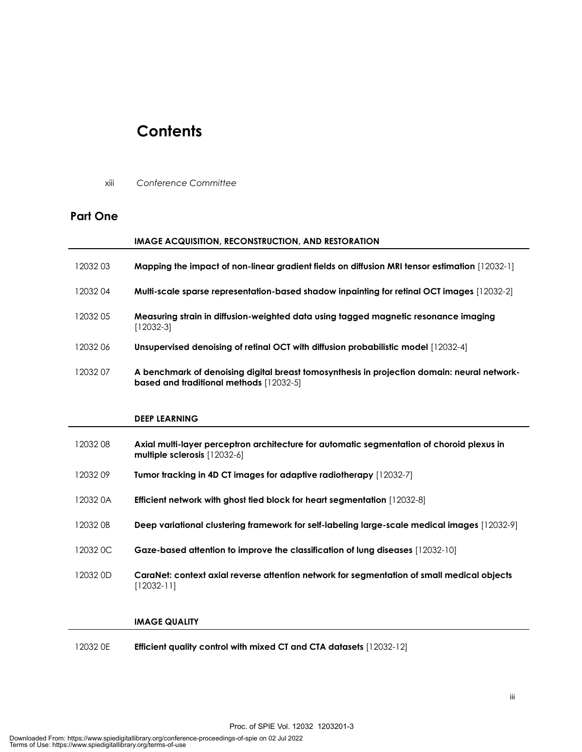### **Contents**

xiii *Conference Committee* 

### **Part One**

|          | <b>IMAGE ACQUISITION, RECONSTRUCTION, AND RESTORATION</b>                                                                              |
|----------|----------------------------------------------------------------------------------------------------------------------------------------|
| 1203203  | Mapping the impact of non-linear gradient fields on diffusion MRI tensor estimation [12032-1]                                          |
| 1203204  | Multi-scale sparse representation-based shadow inpainting for retinal OCT images [12032-2]                                             |
| 1203205  | Measuring strain in diffusion-weighted data using tagged magnetic resonance imaging<br>$[12032-3]$                                     |
| 1203206  | Unsupervised denoising of retinal OCT with diffusion probabilistic model [12032-4]                                                     |
| 1203207  | A benchmark of denoising digital breast tomosynthesis in projection domain: neural network-<br>based and traditional methods [12032-5] |
|          | <b>DEEP LEARNING</b>                                                                                                                   |
| 1203208  | Axial multi-layer perceptron architecture for automatic segmentation of choroid plexus in<br>multiple sclerosis [12032-6]              |
| 1203209  | Tumor tracking in 4D CT images for adaptive radiotherapy [12032-7]                                                                     |
| 12032 0A | Efficient network with ghost tied block for heart segmentation [12032-8]                                                               |
| 12032 OB | Deep variational clustering framework for self-labeling large-scale medical images [12032-9]                                           |
| 12032 OC | Gaze-based attention to improve the classification of lung diseases [12032-10]                                                         |
| 12032 OD | CaraNet: context axial reverse attention network for segmentation of small medical objects<br>$[12032 - 11]$                           |
|          | <b>IMAGE QUALITY</b>                                                                                                                   |
|          |                                                                                                                                        |

#### 12032 0E **Efficient quality control with mixed CT and CTA datasets** [12032-12]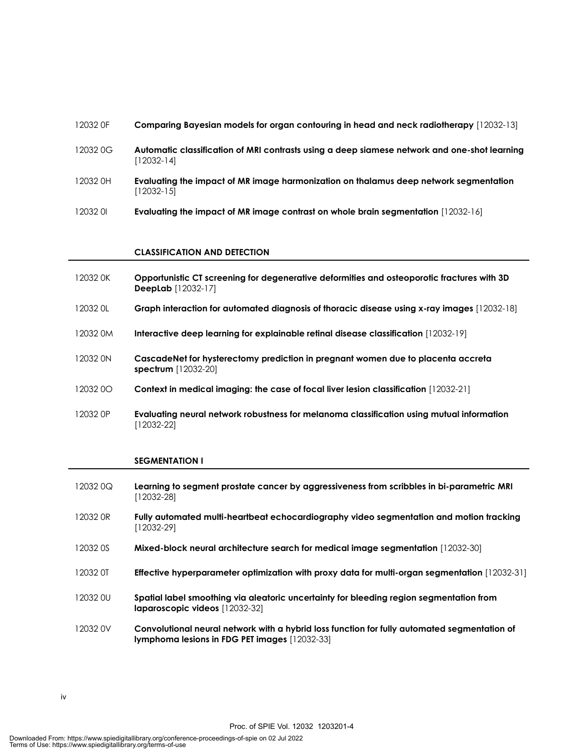# 12032 0F **Comparing Bayesian models for organ contouring in head and neck radiotherapy** [12032-13]

- 12032 0G **Automatic classification of MRI contrasts using a deep siamese network and one-shot learning** [12032-14]
- 12032 0H **Evaluating the impact of MR image harmonization on thalamus deep network segmentation** [12032-15]
- 12032 0I **Evaluating the impact of MR image contrast on whole brain segmentation** [12032-16]

#### **CLASSIFICATION AND DETECTION**

- 12032 0K **Opportunistic CT screening for degenerative deformities and osteoporotic fractures with 3D DeepLab** [12032-17]
- 12032 0L **Graph interaction for automated diagnosis of thoracic disease using x-ray images** [12032-18]
- 12032 0M **Interactive deep learning for explainable retinal disease classification** [12032-19]
- 12032 0N **CascadeNet for hysterectomy prediction in pregnant women due to placenta accreta spectrum** [12032-20]
- 12032 0O **Context in medical imaging: the case of focal liver lesion classification** [12032-21]
- 12032 0P **Evaluating neural network robustness for melanoma classification using mutual information** [12032-22]

#### **SEGMENTATION I**

| 12032 OQ | Learning to segment prostate cancer by aggressiveness from scribbles in bi-parametric MRI<br>[12032-28]                                              |  |
|----------|------------------------------------------------------------------------------------------------------------------------------------------------------|--|
| 12032 OR | Fully automated multi-heartbeat echocardiography video segmentation and motion tracking<br>[12032-29]                                                |  |
| 12032 OS | <b>Mixed-block neural architecture search for medical image segmentation</b> [12032-30]                                                              |  |
| 12032 OT | <b>Effective hyperparameter optimization with proxy data for multi-organ segmentation</b> [12032-31]                                                 |  |
| 12032 OU | Spatial label smoothing via aleatoric uncertainty for bleeding region segmentation from<br>Iaparoscopic videos [12032-32]                            |  |
| 12032 OV | Convolutional neural network with a hybrid loss function for fully automated segmentation of<br><b>lymphoma lesions in FDG PET images</b> [12032-33] |  |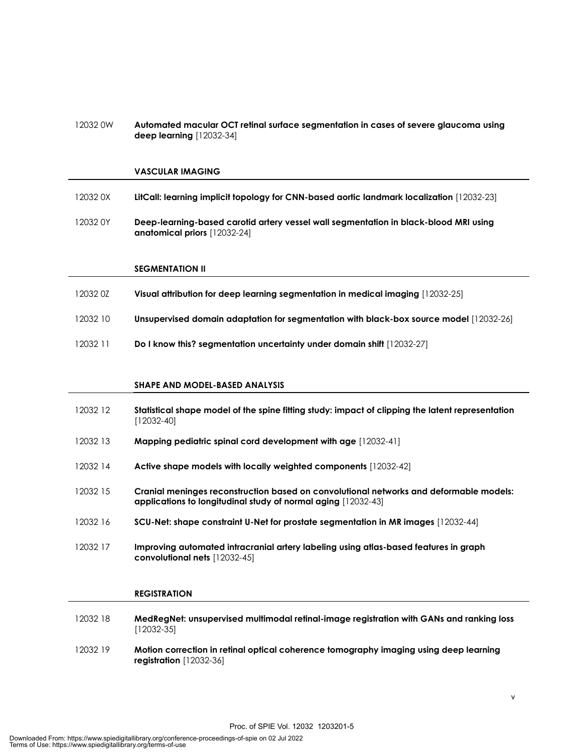12032 0W **Automated macular OCT retinal surface segmentation in cases of severe glaucoma using deep learning** [12032-34]

#### **VASCULAR IMAGING**

- 12032 0X **LitCall: learning implicit topology for CNN-based aortic landmark localization** [12032-23]
- 12032 0Y **Deep-learning-based carotid artery vessel wall segmentation in black-blood MRI using anatomical priors** [12032-24]

#### **SEGMENTATION II**

- 12032 0Z **Visual attribution for deep learning segmentation in medical imaging** [12032-25]
- 12032 10 **Unsupervised domain adaptation for segmentation with black-box source model** [12032-26]
- 12032 11 **Do I know this? segmentation uncertainty under domain shift** [12032-27]

#### **SHAPE AND MODEL-BASED ANALYSIS**

- 12032 12 **Statistical shape model of the spine fitting study: impact of clipping the latent representation** [12032-40]
- 12032 13 **Mapping pediatric spinal cord development with age** [12032-41]
- 12032 14 **Active shape models with locally weighted components** [12032-42]
- 12032 15 **Cranial meninges reconstruction based on convolutional networks and deformable models: applications to longitudinal study of normal aging** [12032-43]
- 12032 16 **SCU-Net: shape constraint U-Net for prostate segmentation in MR images** [12032-44]
- 12032 17 **Improving automated intracranial artery labeling using atlas-based features in graph convolutional nets** [12032-45]

#### **REGISTRATION**

| 12032 18 | MedReaNet: unsupervised multimodal retinal-image reaistration with GANs and ranking loss<br>[12032-35]             |
|----------|--------------------------------------------------------------------------------------------------------------------|
| 12032 19 | Motion correction in retinal optical coherence tomography imaging using deep learning<br>registration $[12032-36]$ |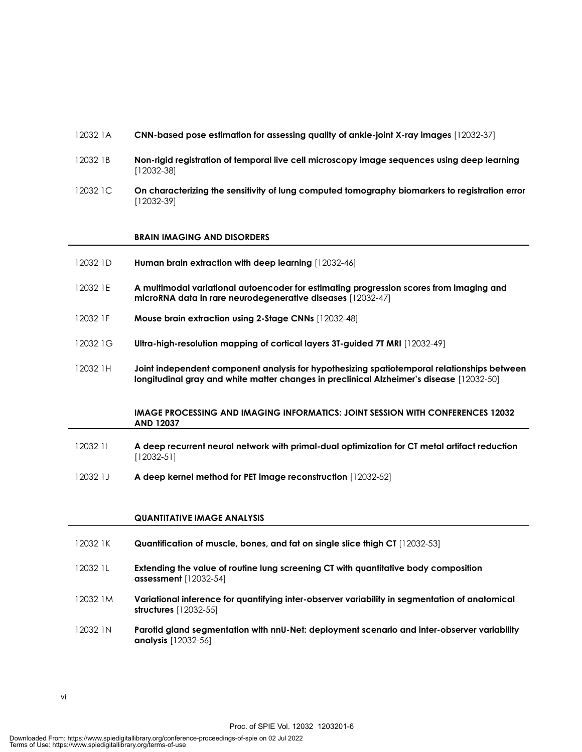| 12032 1A             | CNN-based pose estimation for assessing quality of ankle-joint X-ray images [12032-37]                                                                                                  |
|----------------------|-----------------------------------------------------------------------------------------------------------------------------------------------------------------------------------------|
| 12032 1B             | Non-rigid registration of temporal live cell microscopy image sequences using deep learning<br>$[12032-38]$                                                                             |
| 12032 1C             | On characterizing the sensitivity of lung computed tomography biomarkers to registration error<br>[12032-39]                                                                            |
|                      | <b>BRAIN IMAGING AND DISORDERS</b>                                                                                                                                                      |
| 12032 ID             | Human brain extraction with deep learning [12032-46]                                                                                                                                    |
| 12032 1E             | A multimodal variational autoencoder for estimating progression scores from imaging and<br>microRNA data in rare neurodegenerative diseases [12032-47]                                  |
| 12032 1F             | Mouse brain extraction using 2-Stage CNNs [12032-48]                                                                                                                                    |
| 12032 <sub>1 G</sub> | Ultra-high-resolution mapping of cortical layers 3T-guided 7T MRI [12032-49]                                                                                                            |
| 12032 1H             | Joint independent component analysis for hypothesizing spatiotemporal relationships between<br>longitudinal gray and white matter changes in preclinical Alzheimer's disease [12032-50] |
|                      | <b>IMAGE PROCESSING AND IMAGING INFORMATICS: JOINT SESSION WITH CONFERENCES 12032</b><br><b>AND 12037</b>                                                                               |
| 12032 11             | A deep recurrent neural network with primal-dual optimization for CT metal artifact reduction<br>$[12032 - 51]$                                                                         |
| 12032 1J             | A deep kernel method for PET image reconstruction [12032-52]                                                                                                                            |
|                      | <b>QUANTITATIVE IMAGE ANALYSIS</b>                                                                                                                                                      |
| 12032 1K             | Quantification of muscle, bones, and fat on single slice thigh CT [12032-53]                                                                                                            |
| 12032 1L             | Extending the value of routine lung screening CT with quantitative body composition<br>assessment [12032-54]                                                                            |

- 12032 1M **Variational inference for quantifying inter-observer variability in segmentation of anatomical structures** [12032-55]
- 12032 1N **Parotid gland segmentation with nnU-Net: deployment scenario and inter-observer variability analysis** [12032-56]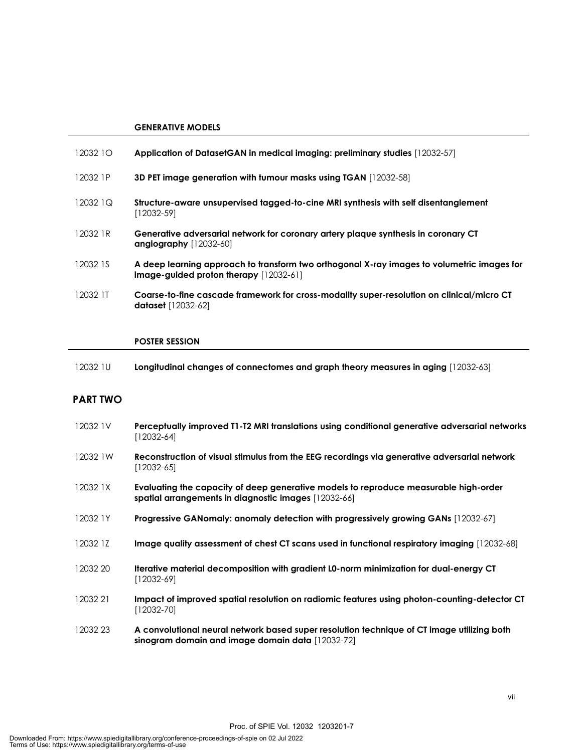#### **GENERATIVE MODELS**

| 12032 10 | Application of DatasetGAN in medical imaging: preliminary studies [12032-57]                                                                |
|----------|---------------------------------------------------------------------------------------------------------------------------------------------|
| 12032 IP | <b>3D PET image generation with tumour masks using TGAN [12032-58]</b>                                                                      |
| 120321Q  | Structure-aware unsupervised tagged-to-cine MRI synthesis with self disentanglement<br>$[12032-59]$                                         |
| 12032 1R | Generative adversarial network for coronary artery plaque synthesis in coronary CT<br>angiography $[12032-60]$                              |
| 12032 1S | A deep learning approach to transform two orthogonal X-ray images to volumetric images for<br><b>image-guided proton therapy</b> [12032-61] |
| 12032 1T | Coarse-to-fine cascade framework for cross-modality super-resolution on clinical/micro CT<br><b>dataset</b> [12032-62]                      |

#### **POSTER SESSION**

12032 1U **Longitudinal changes of connectomes and graph theory measures in aging** [12032-63]

#### **PART TWO**

| 12032 <sub>1</sub> V | Perceptually improved T1-T2 MRI translations using conditional generative adversarial networks<br>$[12032 - 64]$                               |
|----------------------|------------------------------------------------------------------------------------------------------------------------------------------------|
| 12032 1W             | Reconstruction of visual stimulus from the EEG recordings via generative adversarial network<br>$[12032-65]$                                   |
| 12032 1X             | Evaluating the capacity of deep generative models to reproduce measurable high-order<br>spatial arrangements in diagnostic images [12032-66]   |
| 12032 1Y             | Progressive GANomaly: anomaly detection with progressively growing GANs [12032-67]                                                             |
| 12032 1Z             | Image quality assessment of chest CT scans used in functional respiratory imaging [12032-68]                                                   |
| 12032 20             | Iterative material decomposition with gradient L0-norm minimization for dual-energy CT<br>$[12032-69]$                                         |
| 12032 21             | Impact of improved spatial resolution on radiomic features using photon-counting-detector CT<br>$[12032 - 70]$                                 |
| 12032 23             | A convolutional neural network based super resolution technique of CT image utilizing both<br>sinogram domain and image domain data [12032-72] |

Proc. of SPIE Vol. 12032 1203201-7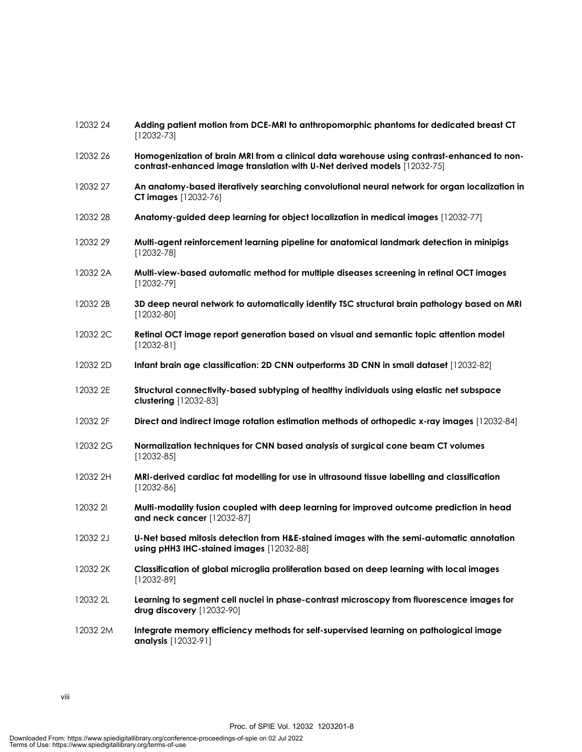| 12032 24 | Adding patient motion from DCE-MRI to anthropomorphic phantoms for dedicated breast CT<br>$[12032 - 73]$                                                               |
|----------|------------------------------------------------------------------------------------------------------------------------------------------------------------------------|
| 12032 26 | Homogenization of brain MRI from a clinical data warehouse using contrast-enhanced to non-<br>contrast-enhanced image translation with U-Net derived models [12032-75] |
| 12032 27 | An anatomy-based iteratively searching convolutional neural network for organ localization in<br>CT images [12032-76]                                                  |
| 12032 28 | Anatomy-guided deep learning for object localization in medical images [12032-77]                                                                                      |
| 12032 29 | Multi-agent reinforcement learning pipeline for anatomical landmark detection in minipigs<br>$[12032 - 78]$                                                            |
| 12032 2A | Multi-view-based automatic method for multiple diseases screening in retinal OCT images<br>$[12032 - 79]$                                                              |
| 12032 2B | 3D deep neural network to automatically identify TSC structural brain pathology based on MRI<br>$[12032-80]$                                                           |
| 12032 2C | Retinal OCT image report generation based on visual and semantic topic attention model<br>$[12032-81]$                                                                 |
| 12032 2D | Infant brain age classification: 2D CNN outperforms 3D CNN in small dataset [12032-82]                                                                                 |
| 12032 2E | Structural connectivity-based subtyping of healthy individuals using elastic net subspace<br>clustering [12032-83]                                                     |
| 12032 2F | Direct and indirect image rotation estimation methods of orthopedic x-ray images [12032-84]                                                                            |
| 12032 2G | Normalization techniques for CNN based analysis of surgical cone beam CT volumes<br>$[12032 - 85]$                                                                     |
| 12032 2H | MRI-derived cardiac fat modelling for use in ultrasound tissue labelling and classification<br>$[12032-86]$                                                            |
| 12032 21 | Multi-modality fusion coupled with deep learning for improved outcome prediction in head<br>and neck cancer [12032-87]                                                 |
| 12032 2J | U-Net based mitosis detection from H&E-stained images with the semi-automatic annotation<br>using pHH3 IHC-stained images [12032-88]                                   |
| 12032 2K | Classification of global microglia proliferation based on deep learning with local images<br>$[12032-89]$                                                              |
| 12032 2L | Learning to segment cell nuclei in phase-contrast microscopy from fluorescence images for<br>drug discovery [12032-90]                                                 |
| 12032 2M | Integrate memory efficiency methods for self-supervised learning on pathological image<br>analysis [12032-91]                                                          |
|          |                                                                                                                                                                        |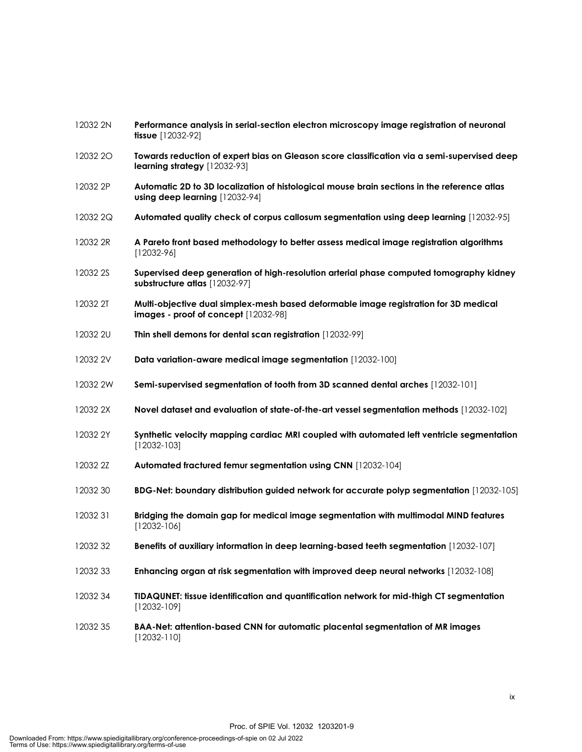|          | <b>fissue</b> [12032-92]                                                                                                       |
|----------|--------------------------------------------------------------------------------------------------------------------------------|
| 12032 20 | Towards reduction of expert bias on Gleason score classification via a semi-supervised deep<br>learning strategy [12032-93]    |
| 12032 2P | Automatic 2D to 3D localization of histological mouse brain sections in the reference atlas<br>using deep learning [12032-94]  |
| 12032 2Q | Automated quality check of corpus callosum segmentation using deep learning [12032-95]                                         |
| 12032 2R | A Pareto front based methodology to better assess medical image registration algorithms<br>$[12032-96]$                        |
| 12032 2S | Supervised deep generation of high-resolution arterial phase computed tomography kidney<br>substructure atlas [12032-97]       |
| 12032 2T | Multi-objective dual simplex-mesh based deformable image registration for 3D medical<br>$images - proof of concept [12032-98]$ |
| 12032 2U | Thin shell demons for dental scan registration [12032-99]                                                                      |
| 12032 2V | Data variation-aware medical image segmentation [12032-100]                                                                    |
| 12032 2W | Semi-supervised segmentation of tooth from 3D scanned dental arches [12032-101]                                                |
| 12032 2X | Novel dataset and evaluation of state-of-the-art vessel segmentation methods [12032-102]                                       |
| 12032 2Y | Synthetic velocity mapping cardiac MRI coupled with automated left ventricle segmentation<br>$[12032 - 103]$                   |
| 12032 2Z | Automated fractured femur segmentation using CNN [12032-104]                                                                   |
| 12032 30 | BDG-Net: boundary distribution guided network for accurate polyp segmentation [12032-105]                                      |
| 1203231  | Bridging the domain gap for medical image segmentation with multimodal MIND features<br>$[12032 - 106]$                        |
| 12032 32 | Benefits of auxiliary information in deep learning-based teeth segmentation [12032-107]                                        |
| 12032 33 | Enhancing organ at risk segmentation with improved deep neural networks [12032-108]                                            |
| 12032 34 | TIDAQUNET: tissue identification and quantification network for mid-thigh CT segmentation<br>$[12032 - 109]$                   |
| 12032 35 | BAA-Net: attention-based CNN for automatic placental segmentation of MR images<br>$[12032 - 110]$                              |

Proc. of SPIE Vol. 12032 1203201-9

12032 2N **Performance analysis in serial-section electron microscopy image registration of neuronal**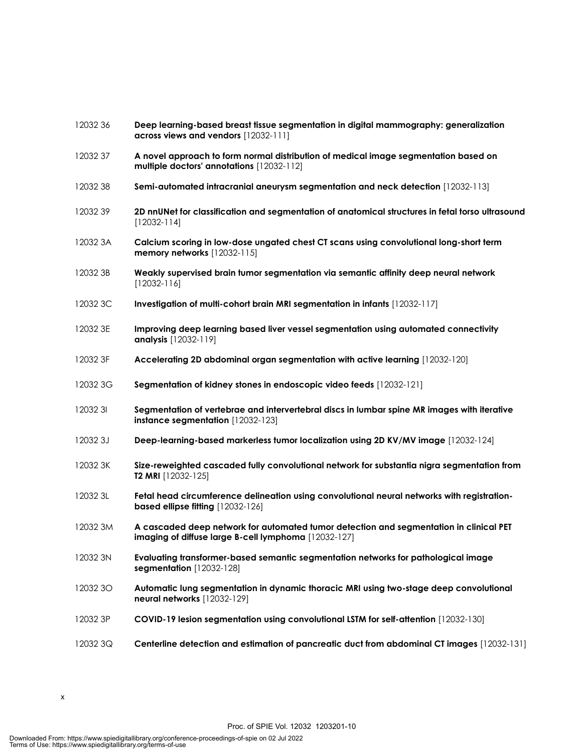| 1203236  | Deep learning-based breast tissue segmentation in digital mammography: generalization<br>across views and vendors [12032-111]                  |
|----------|------------------------------------------------------------------------------------------------------------------------------------------------|
| 12032 37 | A novel approach to form normal distribution of medical image segmentation based on<br>multiple doctors' annotations [12032-112]               |
| 12032 38 | Semi-automated intracranial aneurysm segmentation and neck detection [12032-113]                                                               |
| 1203239  | 2D nnUNet for classification and segmentation of anatomical structures in fetal torso ultrasound<br>$[12032 - 114]$                            |
| 12032 3A | Calcium scoring in low-dose ungated chest CT scans using convolutional long-short term<br>memory networks [12032-115]                          |
| 12032 3B | Weakly supervised brain tumor segmentation via semantic affinity deep neural network<br>$[12032 - 116]$                                        |
| 12032 3C | Investigation of multi-cohort brain MRI segmentation in infants [12032-117]                                                                    |
| 12032 3E | Improving deep learning based liver vessel segmentation using automated connectivity<br>analysis [12032-119]                                   |
| 12032 3F | Accelerating 2D abdominal organ segmentation with active learning [12032-120]                                                                  |
| 12032 3G | Segmentation of kidney stones in endoscopic video feeds [12032-121]                                                                            |
| 1203231  | Segmentation of vertebrae and intervertebral discs in lumbar spine MR images with iterative<br>instance segmentation [12032-123]               |
| 120323J  | Deep-learning-based markerless tumor localization using 2D KV/MV image [12032-124]                                                             |
| 12032 3K | Size-reweighted cascaded fully convolutional network for substantia nigra segmentation from<br>T2 MRI [12032-125]                              |
| 12032 3L | Fetal head circumference delineation using convolutional neural networks with registration-<br>based ellipse fitting [12032-126]               |
| 12032 3M | A cascaded deep network for automated tumor detection and segmentation in clinical PET<br>imaging of diffuse large B-cell lymphoma [12032-127] |
| 12032 3N | Evaluating transformer-based semantic segmentation networks for pathological image<br>segmentation [12032-128]                                 |
| 1203230  | Automatic lung segmentation in dynamic thoracic MRI using two-stage deep convolutional<br>neural networks [12032-129]                          |
| 12032 3P | COVID-19 lesion segmentation using convolutional LSTM for self-attention [12032-130]                                                           |
| 12032 3Q | Centerline detection and estimation of pancreatic duct from abdominal CT images [12032-131]                                                    |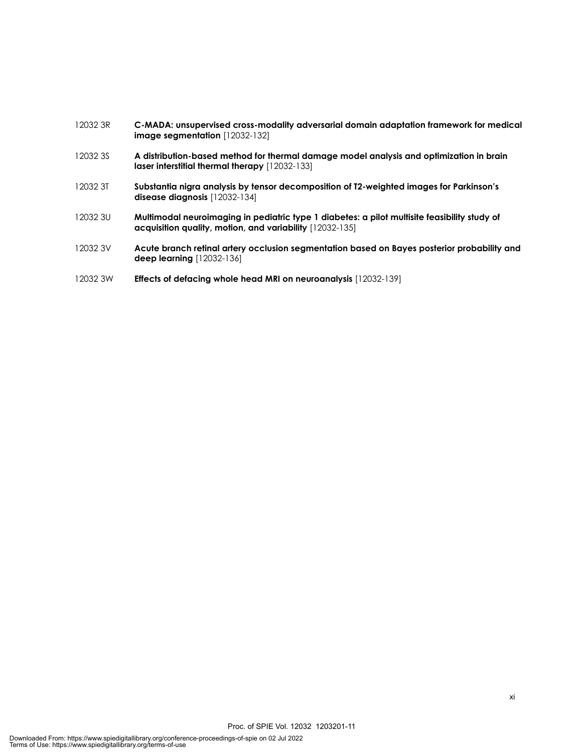- 12032 3R **C-MADA: unsupervised cross-modality adversarial domain adaptation framework for medical image segmentation** [12032-132]
- 12032 3S **A distribution-based method for thermal damage model analysis and optimization in brain laser interstitial thermal therapy** [12032-133]
- 12032 3T **Substantia nigra analysis by tensor decomposition of T2-weighted images for Parkinson's disease diagnosis** [12032-134]
- 12032 3U **Multimodal neuroimaging in pediatric type 1 diabetes: a pilot multisite feasibility study of acquisition quality, motion, and variability** [12032-135]
- 12032 3V **Acute branch retinal artery occlusion segmentation based on Bayes posterior probability and deep learning** [12032-136]
- 12032 3W **Effects of defacing whole head MRI on neuroanalysis** [12032-139]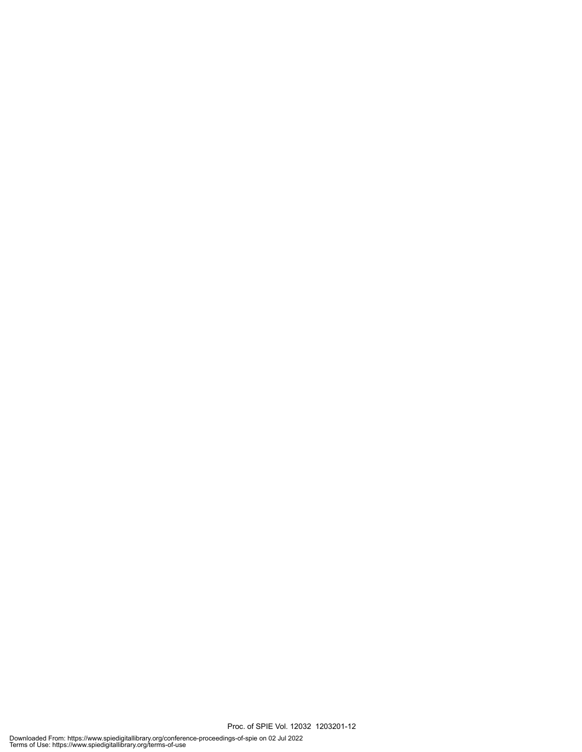Downloaded From: https://www.spiedigitallibrary.org/conference-proceedings-of-spie on 02 Jul 2022 Terms of Use: https://www.spiedigitallibrary.org/terms-of-use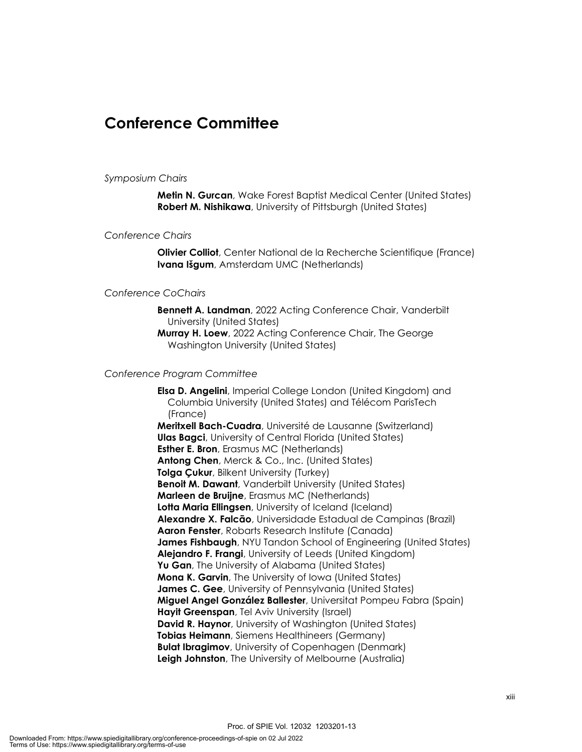### **Conference Committee**

#### *Symposium Chairs*

**Metin N. Gurcan**, Wake Forest Baptist Medical Center (United States) **Robert M. Nishikawa**, University of Pittsburgh (United States)

#### *Conference Chairs*

**Olivier Colliot**, Center National de la Recherche Scientifique (France) **Ivana Išgum**, Amsterdam UMC (Netherlands)

#### *Conference CoChairs*

**Bennett A. Landman**, 2022 Acting Conference Chair, Vanderbilt University (United States)

**Murray H. Loew**, 2022 Acting Conference Chair, The George Washington University (United States)

#### *Conference Program Committee*

**Elsa D. Angelini**, Imperial College London (United Kingdom) and Columbia University (United States) and Télécom ParisTech (France) **Meritxell Bach-Cuadra**, Université de Lausanne (Switzerland) **Ulas Bagci**, University of Central Florida (United States) **Esther E. Bron**, Erasmus MC (Netherlands) **Antong Chen**, Merck & Co., Inc. (United States) **Tolga Çukur**, Bilkent University (Turkey) **Benoit M. Dawant**, Vanderbilt University (United States) **Marleen de Bruijne**, Erasmus MC (Netherlands) **Lotta Maria Ellingsen**, University of Iceland (Iceland) **Alexandre X. Falcão**, Universidade Estadual de Campinas (Brazil) **Aaron Fenster**, Robarts Research Institute (Canada) **James Fishbaugh**, NYU Tandon School of Engineering (United States) **Alejandro F. Frangi**, University of Leeds (United Kingdom) **Yu Gan**, The University of Alabama (United States) **Mona K. Garvin**, The University of Iowa (United States) **James C. Gee**, University of Pennsylvania (United States) **Miguel Angel González Ballester**, Universitat Pompeu Fabra (Spain) **Hayit Greenspan**, Tel Aviv University (Israel) **David R. Haynor**, University of Washington (United States) **Tobias Heimann**, Siemens Healthineers (Germany) **Bulat Ibragimov**, University of Copenhagen (Denmark) **Leigh Johnston**, The University of Melbourne (Australia)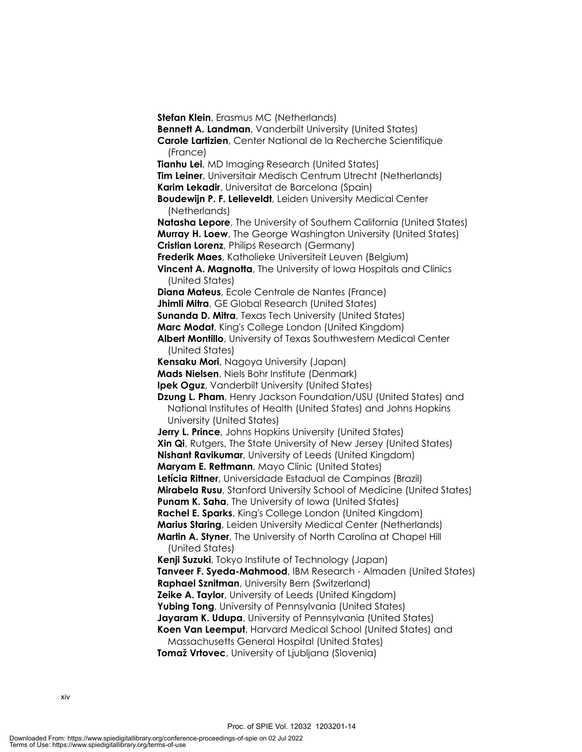**Stefan Klein**, Erasmus MC (Netherlands) **Bennett A. Landman**, Vanderbilt University (United States) **Carole Lartizien**, Center National de la Recherche Scientifique (France) **Tianhu Lei**, MD Imaging Research (United States) **Tim Leiner**, Universitair Medisch Centrum Utrecht (Netherlands) **Karim Lekadir**, Universitat de Barcelona (Spain) **Boudewijn P. F. Lelieveldt**, Leiden University Medical Center (Netherlands) **Natasha Lepore**, The University of Southern California (United States) **Murray H. Loew**, The George Washington University (United States) **Cristian Lorenz**, Philips Research (Germany) **Frederik Maes**, Katholieke Universiteit Leuven (Belgium) **Vincent A. Magnotta**, The University of Iowa Hospitals and Clinics (United States) **Diana Mateus**, Ecole Centrale de Nantes (France) **Jhimli Mitra**, GE Global Research (United States) **Sunanda D. Mitra**, Texas Tech University (United States) **Marc Modat**, King's College London (United Kingdom) **Albert Montillo**, University of Texas Southwestern Medical Center (United States) **Kensaku Mori**, Nagoya University (Japan) **Mads Nielsen**, Niels Bohr Institute (Denmark) **Ipek Oguz**, Vanderbilt University (United States) **Dzung L. Pham**, Henry Jackson Foundation/USU (United States) and National Institutes of Health (United States) and Johns Hopkins University (United States) **Jerry L. Prince**, Johns Hopkins University (United States) **Xin Qi**, Rutgers, The State University of New Jersey (United States) **Nishant Ravikumar**, University of Leeds (United Kingdom) **Maryam E. Rettmann**, Mayo Clinic (United States) **Letícia Rittner**, Universidade Estadual de Campinas (Brazil) **Mirabela Rusu**, Stanford University School of Medicine (United States) **Punam K. Saha**, The University of Iowa (United States) **Rachel E. Sparks**, King's College London (United Kingdom) **Marius Staring**, Leiden University Medical Center (Netherlands) **Martin A. Styner**, The University of North Carolina at Chapel Hill (United States) **Kenji Suzuki**, Tokyo Institute of Technology (Japan) **Tanveer F. Syeda-Mahmood**, IBM Research - Almaden (United States) **Raphael Sznitman**, University Bern (Switzerland) **Zeike A. Taylor**, University of Leeds (United Kingdom) **Yubing Tong**, University of Pennsylvania (United States) **Jayaram K. Udupa**, University of Pennsylvania (United States) **Koen Van Leemput**, Harvard Medical School (United States) and Massachusetts General Hospital (United States) **Tomaž Vrtovec**, University of Ljubljana (Slovenia)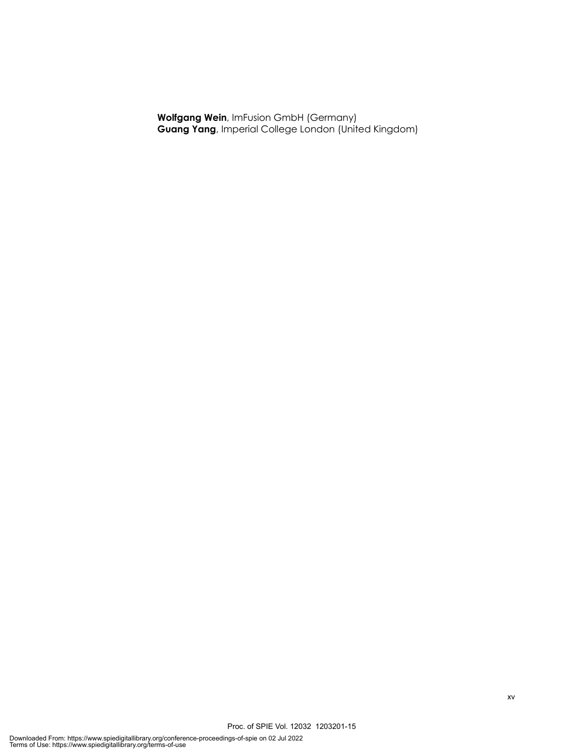**Wolfgang Wein**, ImFusion GmbH (Germany) **Guang Yang**, Imperial College London (United Kingdom)